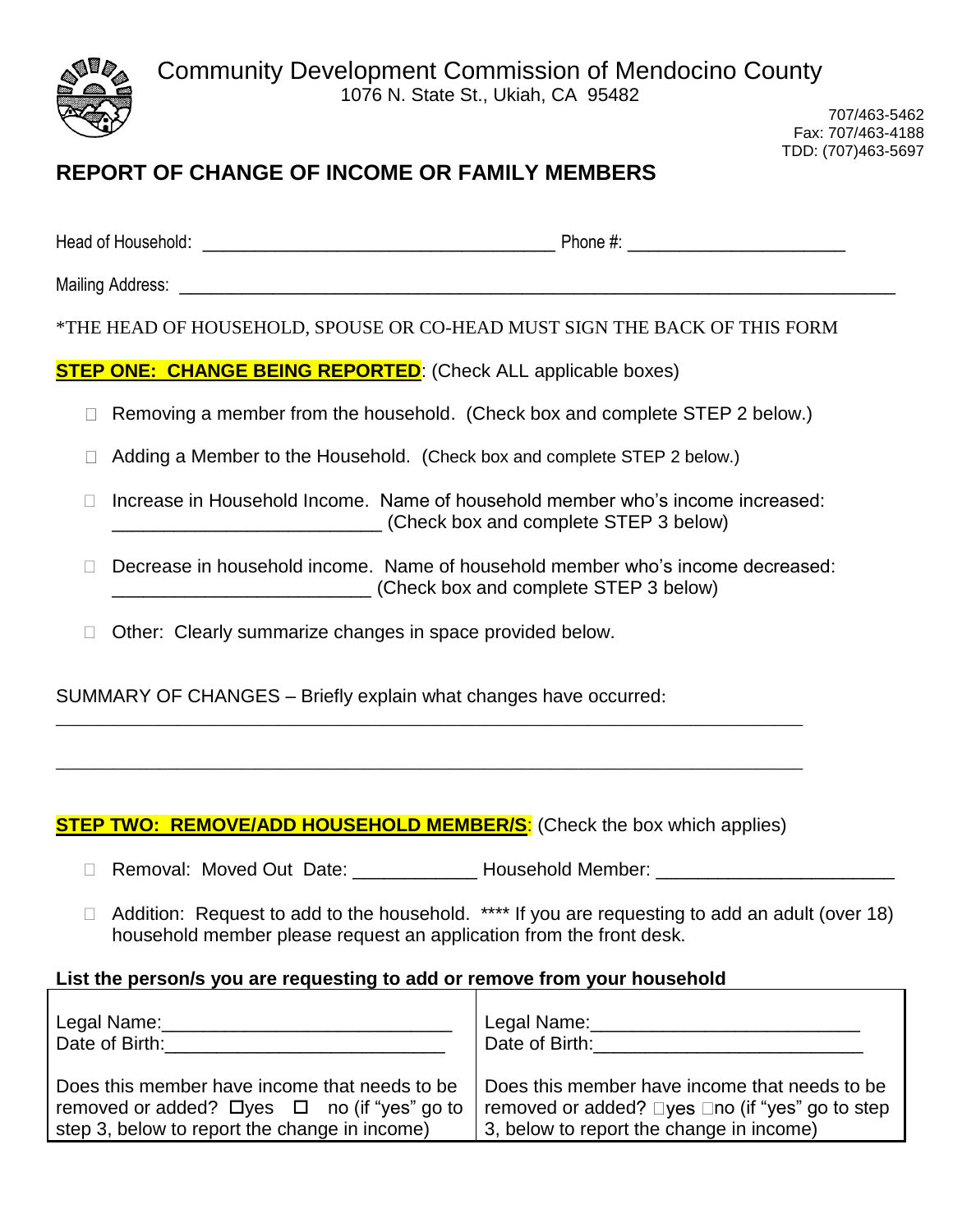

707/463-5462 Fax: 707/463-4188 TDD: (707)463-5697

# **REPORT OF CHANGE OF INCOME OR FAMILY MEMBERS**

| Head of Household: | Phone $#$ . |
|--------------------|-------------|
|                    |             |

Mailing Address: \_\_\_\_\_\_\_\_\_\_\_\_\_\_\_\_\_\_\_\_\_\_\_\_\_\_\_\_\_\_\_\_\_\_\_\_\_\_\_\_\_\_\_\_\_\_\_\_\_\_\_\_\_\_\_\_\_\_\_\_\_\_\_\_\_\_\_\_\_

\*THE HEAD OF HOUSEHOLD, SPOUSE OR CO-HEAD MUST SIGN THE BACK OF THIS FORM

**STEP ONE: CHANGE BEING REPORTED**: (Check ALL applicable boxes)

- $\Box$  Removing a member from the household. (Check box and complete STEP 2 below.)
- □ Adding a Member to the Household. (Check box and complete STEP 2 below.)
- $\Box$  Increase in Household Income. Name of household member who's income increased: \_\_\_\_\_\_\_\_\_\_\_\_\_\_\_\_\_\_\_\_\_\_\_\_\_\_ (Check box and complete STEP 3 below)
- □ Decrease in household income. Name of household member who's income decreased: \_\_\_\_\_\_\_\_\_\_\_\_\_\_\_\_\_\_\_\_\_\_\_\_\_ (Check box and complete STEP 3 below)
- □ Other: Clearly summarize changes in space provided below.

SUMMARY OF CHANGES – Briefly explain what changes have occurred:

## **STEP TWO: REMOVE/ADD HOUSEHOLD MEMBER/S:** (Check the box which applies)

\_\_\_\_\_\_\_\_\_\_\_\_\_\_\_\_\_\_\_\_\_\_\_\_\_\_\_\_\_\_\_\_\_\_\_\_\_\_\_\_\_\_\_\_\_\_\_\_\_\_\_\_\_\_\_\_\_\_\_\_\_\_\_\_\_\_\_\_\_\_\_\_\_\_\_\_\_\_\_\_

\_\_\_\_\_\_\_\_\_\_\_\_\_\_\_\_\_\_\_\_\_\_\_\_\_\_\_\_\_\_\_\_\_\_\_\_\_\_\_\_\_\_\_\_\_\_\_\_\_\_\_\_\_\_\_\_\_\_\_\_\_\_\_\_\_\_\_\_\_\_\_\_\_\_\_\_\_\_\_\_

- □ Removal: Moved Out Date: \_\_\_\_\_\_\_\_\_\_\_\_\_ Household Member: \_\_\_\_\_\_\_\_\_\_\_\_\_\_\_\_\_\_\_\_\_
- $\Box$  Addition: Request to add to the household. \*\*\*\* If you are requesting to add an adult (over 18) household member please request an application from the front desk.

### **List the person/s you are requesting to add or remove from your household**

| Legal Name:<br>Date of Birth:                          | Legal Name:<br>Date of Birth:                   |
|--------------------------------------------------------|-------------------------------------------------|
| Does this member have income that needs to be.         | Does this member have income that needs to be   |
| removed or added? $\Box$ yes $\Box$ no (if "yes" go to | removed or added? □yes □no (if "yes" go to step |
| step 3, below to report the change in income)          | 3, below to report the change in income)        |